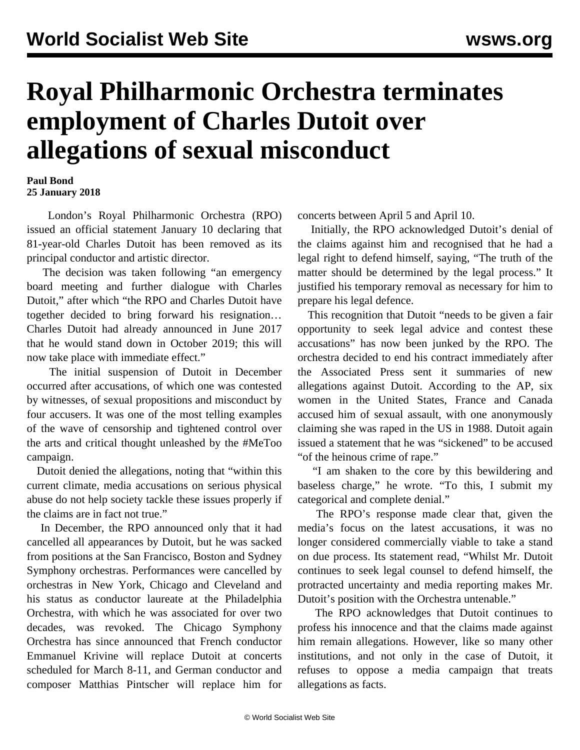## **Royal Philharmonic Orchestra terminates employment of Charles Dutoit over allegations of sexual misconduct**

## **Paul Bond 25 January 2018**

 London's Royal Philharmonic Orchestra (RPO) issued an official statement January 10 declaring that 81-year-old Charles Dutoit has been removed as its principal conductor and artistic director.

 The decision was taken following "an emergency board meeting and further dialogue with Charles Dutoit," after which "the RPO and Charles Dutoit have together decided to bring forward his resignation… Charles Dutoit had already announced in June 2017 that he would stand down in October 2019; this will now take place with immediate effect."

 The initial suspension of Dutoit in December occurred after accusations, of which one was contested by witnesses, of sexual propositions and misconduct by four accusers. It was one of the most telling examples of the [wave of censorship](/en/articles/2018/01/11/duto-j11.html) and tightened control over the arts and critical thought unleashed by the #MeToo campaign.

 Dutoit denied the allegations, noting that "within this current climate, media accusations on serious physical abuse do not help society tackle these issues properly if the claims are in fact not true."

 In December, the RPO announced only that it had cancelled all appearances by Dutoit, but he was sacked from positions at the San Francisco, Boston and Sydney Symphony orchestras. Performances were cancelled by orchestras in New York, Chicago and Cleveland and his status as conductor laureate at the Philadelphia Orchestra, with which he was associated for over two decades, was revoked. The Chicago Symphony Orchestra has since announced that French conductor Emmanuel Krivine will replace Dutoit at concerts scheduled for March 8-11, and German conductor and composer Matthias Pintscher will replace him for

concerts between April 5 and April 10.

 Initially, the RPO acknowledged Dutoit's denial of the claims against him and recognised that he had a legal right to defend himself, saying, "The truth of the matter should be determined by the legal process." It justified his temporary removal as necessary for him to prepare his legal defence.

 This recognition that Dutoit "needs to be given a fair opportunity to seek legal advice and contest these accusations" has now been junked by the RPO. The orchestra decided to end his contract immediately after the Associated Press sent it summaries of new allegations against Dutoit. According to the AP, six women in the United States, France and Canada accused him of sexual assault, with one anonymously claiming she was raped in the US in 1988. Dutoit again issued a statement that he was "sickened" to be accused "of the heinous crime of rape."

 "I am shaken to the core by this bewildering and baseless charge," he wrote. "To this, I submit my categorical and complete denial."

 The RPO's response made clear that, given the media's focus on the latest accusations, it was no longer considered commercially viable to take a stand on due process. Its statement read, "Whilst Mr. Dutoit continues to seek legal counsel to defend himself, the protracted uncertainty and media reporting makes Mr. Dutoit's position with the Orchestra untenable."

 The RPO acknowledges that Dutoit continues to profess his innocence and that the claims made against him remain allegations. However, like so many other institutions, and not only in the case of Dutoit, it refuses to oppose a media campaign that treats allegations as facts.